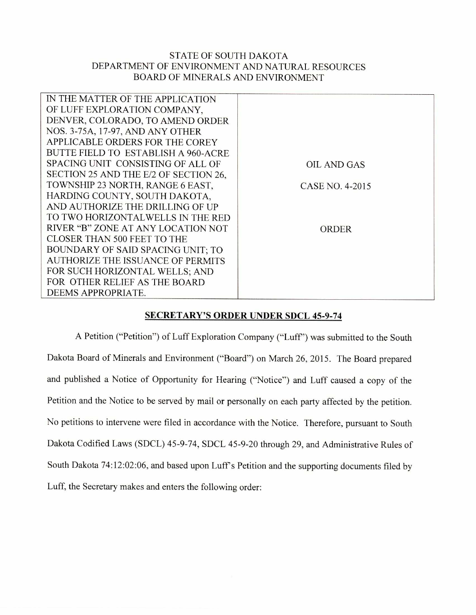## STATE OF SOUTH DAKOTA DEPARTMENT OF ENVIRONMENT AND NATURAL RESOURCES BOARD OF MINERALS AND ENVIRONMENT

| IN THE MATTER OF THE APPLICATION         |                 |
|------------------------------------------|-----------------|
| OF LUFF EXPLORATION COMPANY,             |                 |
| DENVER, COLORADO, TO AMEND ORDER         |                 |
| NOS. 3-75A, 17-97, AND ANY OTHER         |                 |
| APPLICABLE ORDERS FOR THE COREY          |                 |
| BUTTE FIELD TO ESTABLISH A 960-ACRE      |                 |
| SPACING UNIT CONSISTING OF ALL OF        | OIL AND GAS     |
| SECTION 25 AND THE E/2 OF SECTION 26,    |                 |
| TOWNSHIP 23 NORTH, RANGE 6 EAST,         | CASE NO. 4-2015 |
| HARDING COUNTY, SOUTH DAKOTA,            |                 |
| AND AUTHORIZE THE DRILLING OF UP         |                 |
| TO TWO HORIZONTALWELLS IN THE RED        |                 |
| RIVER "B" ZONE AT ANY LOCATION NOT       | ORDER           |
| <b>CLOSER THAN 500 FEET TO THE</b>       |                 |
| BOUNDARY OF SAID SPACING UNIT; TO        |                 |
| <b>AUTHORIZE THE ISSUANCE OF PERMITS</b> |                 |
| FOR SUCH HORIZONTAL WELLS; AND           |                 |
| FOR OTHER RELIEF AS THE BOARD            |                 |
| DEEMS APPROPRIATE.                       |                 |
|                                          |                 |

## **SECRETARY'S ORDER UNDER SDCL 45-9-74**

A Petition ("Petition") of Luff Exploration Company ("Luff') was submitted to the South Dakota Board of Minerals and Environment ("Board") on March 26, 2015. The Board prepared and published a Notice of Opportunity for Hearing ("Notice") and Luff caused a copy of the Petition and the Notice to be served by mail or personally on each party affected by the petition. No petitions to intervene were filed in accordance with the Notice. Therefore, pursuant to South Dakota Codified Laws (SDCL) 45-9-74, SDCL 45-9-20 through 29, and Administrative Rules of South Dakota 74:12:02:06, and based upon Luff's Petition and the supporting documents filed by Luff, the Secretary makes and enters the following order: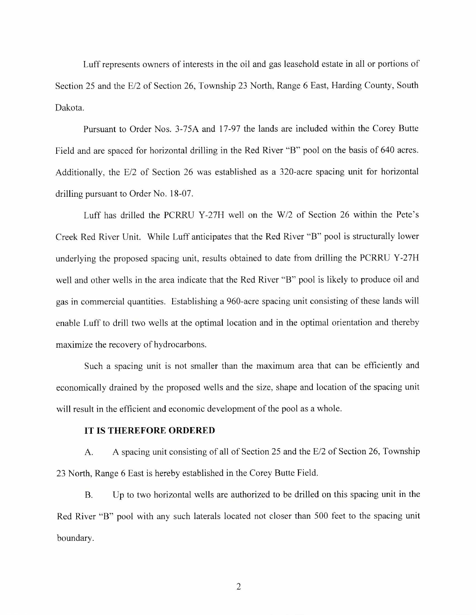Luff represents owners of interests in the oil and gas leasehold estate in all or portions of Section 25 and the E/2 of Section 26, Township 23 North, Range 6 East, Harding County, South Dakota.

Pursuant to Order Nos. 3-75A and 17-97 the lands are included within the Corey Butte Field and are spaced for horizontal drilling in the Red River "B" pool on the basis of 640 acres. Additionally, the E/2 of Section 26 was established as a 320-acre spacing unit for horizontal drilling pursuant to Order No. 18-07.

Luff has drilled the PCRRU Y-27H well on the W/2 of Section 26 within the Pete's Creek Red River Unit. While Luff anticipates that the Red River "B" pool is structurally lower underlying the proposed spacing unit, results obtained to date from drilling the PCRRU Y-27H well and other wells in the area indicate that the Red River "B" pool is likely to produce oil and gas in commercial quantities. Establishing a 960-acre spacing unit consisting of these lands will enable Luff to drill two wells at the optimal location and in the optimal orientation and thereby maximize the recovery of hydrocarbons.

Such a spacing unit is not smaller than the maximum area that can be efficiently and economically drained by the proposed wells and the size, shape and location of the spacing unit will result in the efficient and economic development of the pool as a whole.

## **IT IS THEREFORE ORDERED**

A. A spacing unit consisting of all of Section 25 and the E/2 of Section 26, Township 23 North, Range 6 East is hereby established in the Corey Butte Field.

B. Up to two horizontal wells are authorized to be drilled on this spacing unit in the Red River "B" pool with any such laterals located not closer than 500 feet to the spacing unit boundary.

2